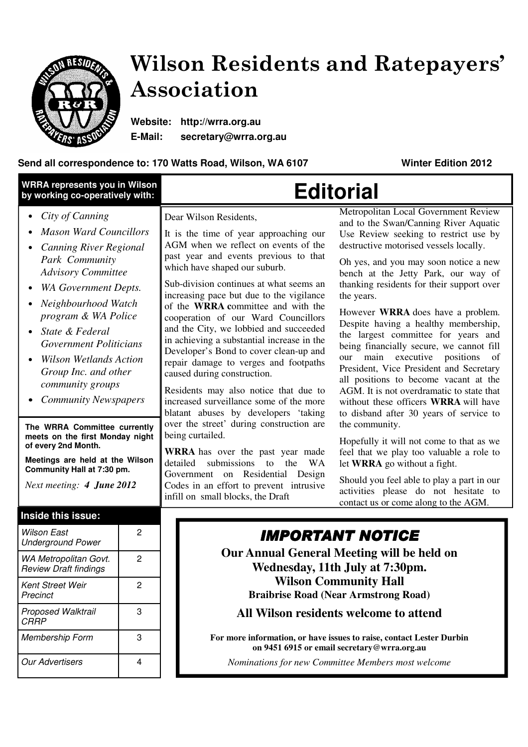

## Wilson Residents and Ratepayers' Association

**Website: http://wrra.org.au E-Mail: secretary@wrra.org.au** 

## **Send all correspondence to: 170 Watts Road, Wilson, WA 6107 Winter Edition 2012**

| <b>WRRA represents you in Wilson</b><br>by working co-operatively with:                                                                                                                                                                                                                                                                                                                                                                                                                                                                                                    |                     | <b>Editorial</b>                                                                                                                                                                                                                                                                                                                                                                                                                                                                                                                                                                                                                                                                                                                                                                                                                                                                                                                                                       |                                                                                                                                                                                                                                                                                                                                                                                                                                                                                                                                                                                                                                                                                                                                                                                                                                                                                                                                                                                                                              |
|----------------------------------------------------------------------------------------------------------------------------------------------------------------------------------------------------------------------------------------------------------------------------------------------------------------------------------------------------------------------------------------------------------------------------------------------------------------------------------------------------------------------------------------------------------------------------|---------------------|------------------------------------------------------------------------------------------------------------------------------------------------------------------------------------------------------------------------------------------------------------------------------------------------------------------------------------------------------------------------------------------------------------------------------------------------------------------------------------------------------------------------------------------------------------------------------------------------------------------------------------------------------------------------------------------------------------------------------------------------------------------------------------------------------------------------------------------------------------------------------------------------------------------------------------------------------------------------|------------------------------------------------------------------------------------------------------------------------------------------------------------------------------------------------------------------------------------------------------------------------------------------------------------------------------------------------------------------------------------------------------------------------------------------------------------------------------------------------------------------------------------------------------------------------------------------------------------------------------------------------------------------------------------------------------------------------------------------------------------------------------------------------------------------------------------------------------------------------------------------------------------------------------------------------------------------------------------------------------------------------------|
| City of Canning<br>٠<br><b>Mason Ward Councillors</b><br><b>Canning River Regional</b><br>Park Community<br><b>Advisory Committee</b><br><b>WA Government Depts.</b><br>Neighbourhood Watch<br>program & WA Police<br>State & Federal<br><b>Government Politicians</b><br><b>Wilson Wetlands Action</b><br>Group Inc. and other<br>community groups<br><b>Community Newspapers</b><br>The WRRA Committee currently<br>meets on the first Monday night<br>of every 2nd Month.<br>Meetings are held at the Wilson<br>Community Hall at 7:30 pm.<br>Next meeting: 4 June 2012 |                     | Dear Wilson Residents,<br>It is the time of year approaching our<br>AGM when we reflect on events of the<br>past year and events previous to that<br>which have shaped our suburb.<br>Sub-division continues at what seems an<br>increasing pace but due to the vigilance<br>of the WRRA committee and with the<br>cooperation of our Ward Councillors<br>and the City, we lobbied and succeeded<br>in achieving a substantial increase in the<br>Developer's Bond to cover clean-up and<br>repair damage to verges and footpaths<br>caused during construction.<br>Residents may also notice that due to<br>increased surveillance some of the more<br>blatant abuses by developers 'taking<br>over the street' during construction are<br>being curtailed.<br><b>WRRA</b> has over the past year made<br>detailed<br>submissions to<br>the<br>WA<br>Government on Residential Design<br>Codes in an effort to prevent intrusive<br>infill on small blocks, the Draft | Metropolitan Local Government Review<br>and to the Swan/Canning River Aquatic<br>Use Review seeking to restrict use by<br>destructive motorised vessels locally.<br>Oh yes, and you may soon notice a new<br>bench at the Jetty Park, our way of<br>thanking residents for their support over<br>the years.<br>However <b>WRRA</b> does have a problem.<br>Despite having a healthy membership,<br>the largest committee for years and<br>being financially secure, we cannot fill<br>our main executive positions<br>of<br>President, Vice President and Secretary<br>all positions to become vacant at the<br>AGM. It is not overdramatic to state that<br>without these officers <b>WRRA</b> will have<br>to disband after 30 years of service to<br>the community.<br>Hopefully it will not come to that as we<br>feel that we play too valuable a role to<br>let WRRA go without a fight.<br>Should you feel able to play a part in our<br>activities please do not hesitate to<br>contact us or come along to the AGM. |
| Inside this issue:<br><b>Wilson East</b><br><b>Underground Power</b><br>WA Metropolitan Govt.                                                                                                                                                                                                                                                                                                                                                                                                                                                                              | 2<br>$\overline{2}$ | <b>IMPORTANT NOTICE</b><br>Our Annual General Meeting will be held on<br>Wednesday, 11th July at 7:30pm.<br><b>Wilson Community Hall</b><br><b>Braibrise Road (Near Armstrong Road)</b><br>All Wilson residents welcome to attend<br>For more information, or have issues to raise, contact Lester Durbin<br>on 9451 6915 or email secretary@wrra.org.au                                                                                                                                                                                                                                                                                                                                                                                                                                                                                                                                                                                                               |                                                                                                                                                                                                                                                                                                                                                                                                                                                                                                                                                                                                                                                                                                                                                                                                                                                                                                                                                                                                                              |
| <b>Review Draft findings</b><br>Kent Street Weir<br>Precinct                                                                                                                                                                                                                                                                                                                                                                                                                                                                                                               | $\overline{2}$      |                                                                                                                                                                                                                                                                                                                                                                                                                                                                                                                                                                                                                                                                                                                                                                                                                                                                                                                                                                        |                                                                                                                                                                                                                                                                                                                                                                                                                                                                                                                                                                                                                                                                                                                                                                                                                                                                                                                                                                                                                              |
| Proposed Walktrail<br><b>CRRP</b>                                                                                                                                                                                                                                                                                                                                                                                                                                                                                                                                          | 3                   |                                                                                                                                                                                                                                                                                                                                                                                                                                                                                                                                                                                                                                                                                                                                                                                                                                                                                                                                                                        |                                                                                                                                                                                                                                                                                                                                                                                                                                                                                                                                                                                                                                                                                                                                                                                                                                                                                                                                                                                                                              |
| Membership Form                                                                                                                                                                                                                                                                                                                                                                                                                                                                                                                                                            | 3                   |                                                                                                                                                                                                                                                                                                                                                                                                                                                                                                                                                                                                                                                                                                                                                                                                                                                                                                                                                                        |                                                                                                                                                                                                                                                                                                                                                                                                                                                                                                                                                                                                                                                                                                                                                                                                                                                                                                                                                                                                                              |
| <b>Our Advertisers</b>                                                                                                                                                                                                                                                                                                                                                                                                                                                                                                                                                     | 4                   |                                                                                                                                                                                                                                                                                                                                                                                                                                                                                                                                                                                                                                                                                                                                                                                                                                                                                                                                                                        | Nominations for new Committee Members most welcome                                                                                                                                                                                                                                                                                                                                                                                                                                                                                                                                                                                                                                                                                                                                                                                                                                                                                                                                                                           |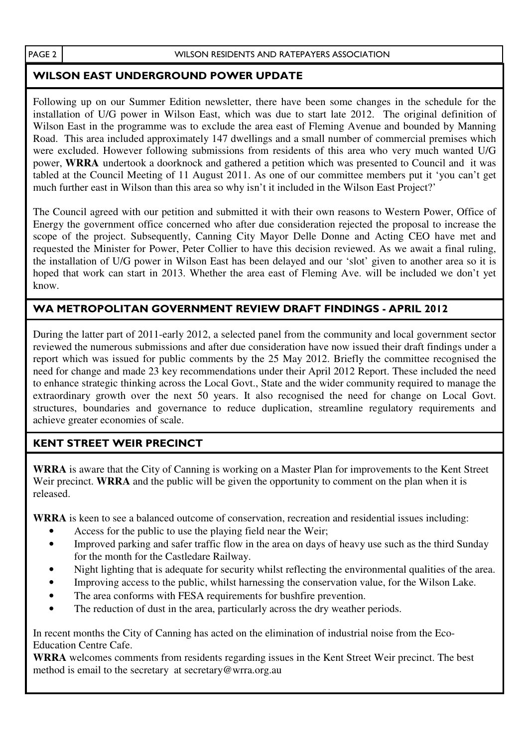## WILSON EAST UNDERGROUND POWER UPDATE

Following up on our Summer Edition newsletter, there have been some changes in the schedule for the installation of U/G power in Wilson East, which was due to start late 2012. The original definition of Wilson East in the programme was to exclude the area east of Fleming Avenue and bounded by Manning Road. This area included approximately 147 dwellings and a small number of commercial premises which were excluded. However following submissions from residents of this area who very much wanted U/G power, **WRRA** undertook a doorknock and gathered a petition which was presented to Council and it was tabled at the Council Meeting of 11 August 2011. As one of our committee members put it 'you can't get much further east in Wilson than this area so why isn't it included in the Wilson East Project?'

The Council agreed with our petition and submitted it with their own reasons to Western Power, Office of Energy the government office concerned who after due consideration rejected the proposal to increase the scope of the project. Subsequently, Canning City Mayor Delle Donne and Acting CEO have met and requested the Minister for Power, Peter Collier to have this decision reviewed. As we await a final ruling, the installation of U/G power in Wilson East has been delayed and our 'slot' given to another area so it is hoped that work can start in 2013. Whether the area east of Fleming Ave. will be included we don't yet know.

## WA METROPOLITAN GOVERNMENT REVIEW DRAFT FINDINGS - APRIL 2012

During the latter part of 2011-early 2012, a selected panel from the community and local government sector reviewed the numerous submissions and after due consideration have now issued their draft findings under a report which was issued for public comments by the 25 May 2012. Briefly the committee recognised the need for change and made 23 key recommendations under their April 2012 Report. These included the need to enhance strategic thinking across the Local Govt., State and the wider community required to manage the extraordinary growth over the next 50 years. It also recognised the need for change on Local Govt. structures, boundaries and governance to reduce duplication, streamline regulatory requirements and achieve greater economies of scale.

## KENT STREET WEIR PRECINCT

**WRRA** is aware that the City of Canning is working on a Master Plan for improvements to the Kent Street Weir precinct. **WRRA** and the public will be given the opportunity to comment on the plan when it is released.

**WRRA** is keen to see a balanced outcome of conservation, recreation and residential issues including:

- Access for the public to use the playing field near the Weir;
- Improved parking and safer traffic flow in the area on days of heavy use such as the third Sunday for the month for the Castledare Railway.
- Night lighting that is adequate for security whilst reflecting the environmental qualities of the area.
- Improving access to the public, whilst harnessing the conservation value, for the Wilson Lake.
- The area conforms with FESA requirements for bushfire prevention.
- The reduction of dust in the area, particularly across the dry weather periods.

In recent months the City of Canning has acted on the elimination of industrial noise from the Eco-Education Centre Cafe.

**WRRA** welcomes comments from residents regarding issues in the Kent Street Weir precinct. The best method is email to the secretary at secretary@wrra.org.au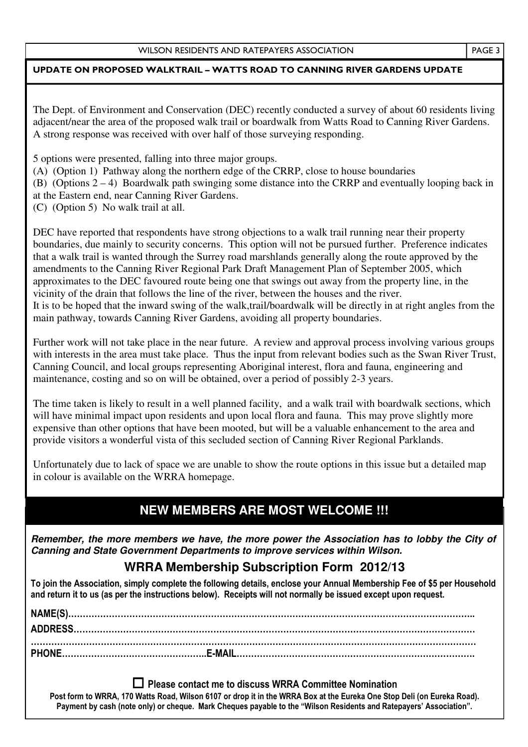#### UPDATE ON PROPOSED WALKTRAIL – WATTS ROAD TO CANNING RIVER GARDENS UPDATE

The Dept. of Environment and Conservation (DEC) recently conducted a survey of about 60 residents living adjacent/near the area of the proposed walk trail or boardwalk from Watts Road to Canning River Gardens. A strong response was received with over half of those surveying responding.

5 options were presented, falling into three major groups.

(A) (Option 1) Pathway along the northern edge of the CRRP, close to house boundaries

(B) (Options 2 – 4) Boardwalk path swinging some distance into the CRRP and eventually looping back in at the Eastern end, near Canning River Gardens.

(C) (Option 5) No walk trail at all.

DEC have reported that respondents have strong objections to a walk trail running near their property boundaries, due mainly to security concerns. This option will not be pursued further. Preference indicates that a walk trail is wanted through the Surrey road marshlands generally along the route approved by the amendments to the Canning River Regional Park Draft Management Plan of September 2005, which approximates to the DEC favoured route being one that swings out away from the property line, in the vicinity of the drain that follows the line of the river, between the houses and the river. It is to be hoped that the inward swing of the walk,trail/boardwalk will be directly in at right angles from the main pathway, towards Canning River Gardens, avoiding all property boundaries.

Further work will not take place in the near future. A review and approval process involving various groups with interests in the area must take place. Thus the input from relevant bodies such as the Swan River Trust, Canning Council, and local groups representing Aboriginal interest, flora and fauna, engineering and maintenance, costing and so on will be obtained, over a period of possibly 2-3 years.

The time taken is likely to result in a well planned facility, and a walk trail with boardwalk sections, which will have minimal impact upon residents and upon local flora and fauna. This may prove slightly more expensive than other options that have been mooted, but will be a valuable enhancement to the area and provide visitors a wonderful vista of this secluded section of Canning River Regional Parklands.

Unfortunately due to lack of space we are unable to show the route options in this issue but a detailed map in colour is available on the WRRA homepage.

## **NEW MEMBERS ARE MOST WELCOME !!!**

**Remember, the more members we have, the more power the Association has to lobby the City of Canning and State Government Departments to improve services within Wilson.** 

## **WRRA Membership Subscription Form 2012/13**

To join the Association, simply complete the following details, enclose your Annual Membership Fee of \$5 per Household and return it to us (as per the instructions below). Receipts will not normally be issued except upon request.

- Please contact me to discuss WRRA Committee Nomination Post form to WRRA, 170 Watts Road, Wilson 6107 or drop it in the WRRA Box at the Eureka One Stop Deli (on Eureka Road). Payment by cash (note only) or cheque. Mark Cheques payable to the "Wilson Residents and Ratepayers' Association".

PAGE 3